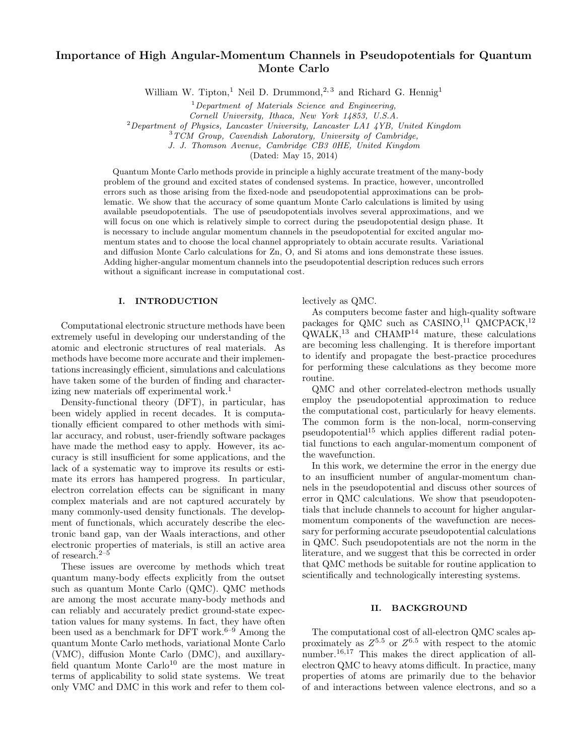# Importance of High Angular-Momentum Channels in Pseudopotentials for Quantum Monte Carlo

William W. Tipton,<sup>1</sup> Neil D. Drummond,<sup>2, 3</sup> and Richard G. Hennig<sup>1</sup>

 $1$ Department of Materials Science and Engineering,

Cornell University, Ithaca, New York 14853, U.S.A.

 ${}^{2}$ Department of Physics, Lancaster University, Lancaster LA1  $\frac{1}{4}$ YB, United Kingdom

<sup>3</sup>TCM Group, Cavendish Laboratory, University of Cambridge,

J. J. Thomson Avenue, Cambridge CB3 0HE, United Kingdom

(Dated: May 15, 2014)

Quantum Monte Carlo methods provide in principle a highly accurate treatment of the many-body problem of the ground and excited states of condensed systems. In practice, however, uncontrolled errors such as those arising from the fixed-node and pseudopotential approximations can be problematic. We show that the accuracy of some quantum Monte Carlo calculations is limited by using available pseudopotentials. The use of pseudopotentials involves several approximations, and we will focus on one which is relatively simple to correct during the pseudopotential design phase. It is necessary to include angular momentum channels in the pseudopotential for excited angular momentum states and to choose the local channel appropriately to obtain accurate results. Variational and diffusion Monte Carlo calculations for Zn, O, and Si atoms and ions demonstrate these issues. Adding higher-angular momentum channels into the pseudopotential description reduces such errors without a significant increase in computational cost.

## I. INTRODUCTION

Computational electronic structure methods have been extremely useful in developing our understanding of the atomic and electronic structures of real materials. As methods have become more accurate and their implementations increasingly efficient, simulations and calculations have taken some of the burden of finding and characterizing new materials off experimental work.<sup>1</sup>

Density-functional theory (DFT), in particular, has been widely applied in recent decades. It is computationally efficient compared to other methods with similar accuracy, and robust, user-friendly software packages have made the method easy to apply. However, its accuracy is still insufficient for some applications, and the lack of a systematic way to improve its results or estimate its errors has hampered progress. In particular, electron correlation effects can be significant in many complex materials and are not captured accurately by many commonly-used density functionals. The development of functionals, which accurately describe the electronic band gap, van der Waals interactions, and other electronic properties of materials, is still an active area of research.2–5

These issues are overcome by methods which treat quantum many-body effects explicitly from the outset such as quantum Monte Carlo (QMC). QMC methods are among the most accurate many-body methods and can reliably and accurately predict ground-state expectation values for many systems. In fact, they have often been used as a benchmark for DFT work.<sup>6–9</sup> Among the quantum Monte Carlo methods, variational Monte Carlo (VMC), diffusion Monte Carlo (DMC), and auxillaryfield quantum Monte Carlo<sup>10</sup> are the most mature in terms of applicability to solid state systems. We treat only VMC and DMC in this work and refer to them collectively as QMC.

As computers become faster and high-quality software packages for QMC such as  $CASINO<sup>11</sup>$  QMCPACK,<sup>12</sup>  $\text{QWALK},^{13}$  and CHAMP<sup>14</sup> mature, these calculations are becoming less challenging. It is therefore important to identify and propagate the best-practice procedures for performing these calculations as they become more routine.

QMC and other correlated-electron methods usually employ the pseudopotential approximation to reduce the computational cost, particularly for heavy elements. The common form is the non-local, norm-conserving pseudopotential<sup>15</sup> which applies different radial potential functions to each angular-momentum component of the wavefunction.

In this work, we determine the error in the energy due to an insufficient number of angular-momentum channels in the pseudopotential and discuss other sources of error in QMC calculations. We show that pseudopotentials that include channels to account for higher angularmomentum components of the wavefunction are necessary for performing accurate pseudopotential calculations in QMC. Such pseudopotentials are not the norm in the literature, and we suggest that this be corrected in order that QMC methods be suitable for routine application to scientifically and technologically interesting systems.

# II. BACKGROUND

The computational cost of all-electron QMC scales approximately as  $Z^{5.5}$  or  $Z^{6.5}$  with respect to the atomic number.<sup>16,17</sup> This makes the direct application of allelectron QMC to heavy atoms difficult. In practice, many properties of atoms are primarily due to the behavior of and interactions between valence electrons, and so a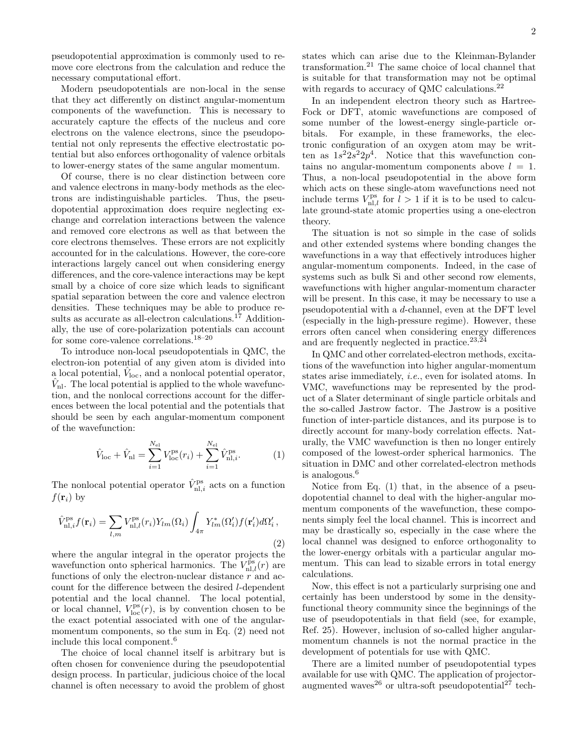pseudopotential approximation is commonly used to remove core electrons from the calculation and reduce the necessary computational effort.

Modern pseudopotentials are non-local in the sense that they act differently on distinct angular-momentum components of the wavefunction. This is necessary to accurately capture the effects of the nucleus and core electrons on the valence electrons, since the pseudopotential not only represents the effective electrostatic potential but also enforces orthogonality of valence orbitals to lower-energy states of the same angular momentum.

Of course, there is no clear distinction between core and valence electrons in many-body methods as the electrons are indistinguishable particles. Thus, the pseudopotential approximation does require neglecting exchange and correlation interactions between the valence and removed core electrons as well as that between the core electrons themselves. These errors are not explicitly accounted for in the calculations. However, the core-core interactions largely cancel out when considering energy differences, and the core-valence interactions may be kept small by a choice of core size which leads to significant spatial separation between the core and valence electron densities. These techniques may be able to produce results as accurate as all-electron calculations.<sup>17</sup> Additionally, the use of core-polarization potentials can account for some core-valence correlations.<sup>18–20</sup>

To introduce non-local pseudopotentials in QMC, the electron-ion potential of any given atom is divided into a local potential,  $\hat{V}_{\text{loc}}$ , and a nonlocal potential operator,  $\hat{V}_{\text{nl}}$ . The local potential is applied to the whole wavefunction, and the nonlocal corrections account for the differences between the local potential and the potentials that should be seen by each angular-momentum component of the wavefunction:

$$
\hat{V}_{\text{loc}} + \hat{V}_{\text{nl}} = \sum_{i=1}^{N_{\text{el}}} V_{\text{loc}}^{\text{ps}}(r_i) + \sum_{i=1}^{N_{\text{el}}} \hat{V}_{\text{nl},i}^{\text{ps}}.
$$
 (1)

The nonlocal potential operator  $\hat{V}_{nl,i}^{ps}$  acts on a function  $f(\mathbf{r}_i)$  by

$$
\hat{V}_{\text{nl},i}^{\text{ps}} f(\mathbf{r}_i) = \sum_{l,m} V_{\text{nl},l}^{\text{ps}}(r_i) Y_{lm}(\Omega_i) \int_{4\pi} Y_{lm}^*(\Omega_i') f(\mathbf{r}_i') d\Omega_i',\tag{2}
$$

where the angular integral in the operator projects the wavefunction onto spherical harmonics. The  $V_{\text{nl},l}^{\text{ps}}(r)$  are functions of only the electron-nuclear distance  $r$  and account for the difference between the desired l-dependent potential and the local channel. The local potential, or local channel,  $V_{\text{loc}}^{\text{ps}}(r)$ , is by convention chosen to be the exact potential associated with one of the angularmomentum components, so the sum in Eq. (2) need not include this local component.<sup>6</sup>

The choice of local channel itself is arbitrary but is often chosen for convenience during the pseudopotential design process. In particular, judicious choice of the local channel is often necessary to avoid the problem of ghost states which can arise due to the Kleinman-Bylander transformation.<sup>21</sup> The same choice of local channel that is suitable for that transformation may not be optimal with regards to accuracy of QMC calculations.<sup>22</sup>

In an independent electron theory such as Hartree-Fock or DFT, atomic wavefunctions are composed of some number of the lowest-energy single-particle orbitals. For example, in these frameworks, the electronic configuration of an oxygen atom may be written as  $1s^2 2s^2 2p^4$ . Notice that this wavefunction contains no angular-momentum components above  $l = 1$ . Thus, a non-local pseudopotential in the above form which acts on these single-atom wavefunctions need not include terms  $V_{\text{nl},l}^{\text{ps}}$  for  $l > 1$  if it is to be used to calculate ground-state atomic properties using a one-electron theory.

The situation is not so simple in the case of solids and other extended systems where bonding changes the wavefunctions in a way that effectively introduces higher angular-momentum components. Indeed, in the case of systems such as bulk Si and other second row elements, wavefunctions with higher angular-momentum character will be present. In this case, it may be necessary to use a pseudopotential with a d-channel, even at the DFT level (especially in the high-pressure regime). However, these errors often cancel when considering energy differences and are frequently neglected in practice.<sup>23,24</sup>

In QMC and other correlated-electron methods, excitations of the wavefunction into higher angular-momentum states arise immediately, i.e., even for isolated atoms. In VMC, wavefunctions may be represented by the product of a Slater determinant of single particle orbitals and the so-called Jastrow factor. The Jastrow is a positive function of inter-particle distances, and its purpose is to directly account for many-body correlation effects. Naturally, the VMC wavefunction is then no longer entirely composed of the lowest-order spherical harmonics. The situation in DMC and other correlated-electron methods is analogous.<sup>6</sup>

Notice from Eq. (1) that, in the absence of a pseudopotential channel to deal with the higher-angular momentum components of the wavefunction, these components simply feel the local channel. This is incorrect and may be drastically so, especially in the case where the local channel was designed to enforce orthogonality to the lower-energy orbitals with a particular angular momentum. This can lead to sizable errors in total energy calculations.

Now, this effect is not a particularly surprising one and certainly has been understood by some in the densityfunctional theory community since the beginnings of the use of pseudopotentials in that field (see, for example, Ref. 25). However, inclusion of so-called higher angularmomentum channels is not the normal practice in the development of potentials for use with QMC.

There are a limited number of pseudopotential types available for use with QMC. The application of projectoraugmented waves<sup>26</sup> or ultra-soft pseudopotential<sup>27</sup> tech-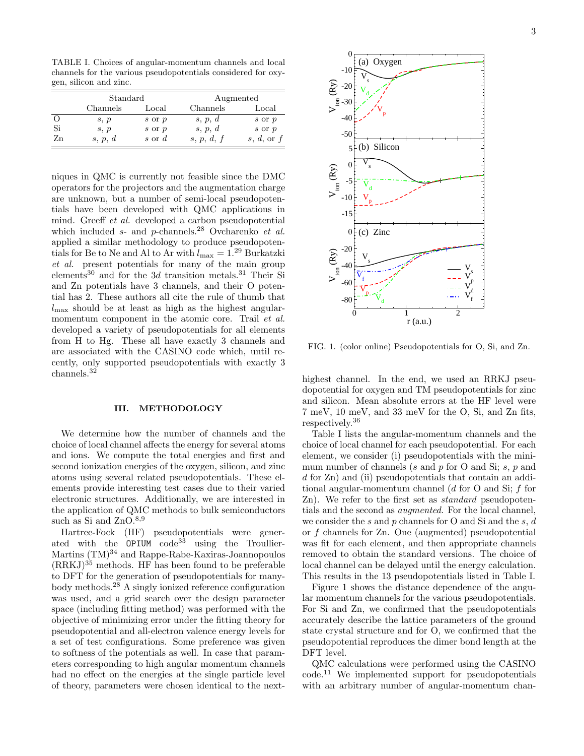|    | Standard |          | Augmented  |              |
|----|----------|----------|------------|--------------|
|    | Channels | Local    | Channels   | Local        |
|    | s, p     | s or p   | s, p, d    | s or p       |
| Si | s, p     | s or p   | s, p, d    | $s$ or $p$   |
| Zn | s, p, d  | s or $d$ | s, p, d, f | s, d, or $f$ |

niques in QMC is currently not feasible since the DMC operators for the projectors and the augmentation charge are unknown, but a number of semi-local pseudopotentials have been developed with QMC applications in mind. Greeff et al. developed a carbon pseudopotential which included  $s$ - and  $p$ -channels.<sup>28</sup> Ovcharenko et al. applied a similar methodology to produce pseudopotentials for Be to Ne and Al to Ar with  $l_{\text{max}} = 1.29$  Burkatzki et al. present potentials for many of the main group elements<sup>30</sup> and for the 3d transition metals.<sup>31</sup> Their Si and Zn potentials have 3 channels, and their O potential has 2. These authors all cite the rule of thumb that  $l_{\text{max}}$  should be at least as high as the highest angularmomentum component in the atomic core. Trail *et al.* developed a variety of pseudopotentials for all elements from H to Hg. These all have exactly 3 channels and are associated with the CASINO code which, until recently, only supported pseudopotentials with exactly 3 channels.<sup>32</sup>

#### III. METHODOLOGY

We determine how the number of channels and the choice of local channel affects the energy for several atoms and ions. We compute the total energies and first and second ionization energies of the oxygen, silicon, and zinc atoms using several related pseudopotentials. These elements provide interesting test cases due to their varied electronic structures. Additionally, we are interested in the application of QMC methods to bulk semiconductors such as Si and ZnO.<sup>8,9</sup>

Hartree-Fock (HF) pseudopotentials were generated with the  $OPTUM$   $code^{33}$  using the Troullier-Martins (TM)<sup>34</sup> and Rappe-Rabe-Kaxiras-Joannopoulos  $(RRKJ)^{35}$  methods. HF has been found to be preferable to DFT for the generation of pseudopotentials for manybody methods. $2^8$  A singly ionized reference configuration was used, and a grid search over the design parameter space (including fitting method) was performed with the objective of minimizing error under the fitting theory for pseudopotential and all-electron valence energy levels for a set of test configurations. Some preference was given to softness of the potentials as well. In case that parameters corresponding to high angular momentum channels had no effect on the energies at the single particle level of theory, parameters were chosen identical to the next-



FIG. 1. (color online) Pseudopotentials for O, Si, and Zn.

highest channel. In the end, we used an RRKJ pseudopotential for oxygen and TM pseudopotentials for zinc and silicon. Mean absolute errors at the HF level were 7 meV, 10 meV, and 33 meV for the O, Si, and Zn fits, respectively.<sup>36</sup>

Table I lists the angular-momentum channels and the choice of local channel for each pseudopotential. For each element, we consider (i) pseudopotentials with the minimum number of channels (s and p for O and Si; s, p and d for Zn) and (ii) pseudopotentials that contain an additional angular-momentum channel (d for O and Si; f for Zn). We refer to the first set as standard pseudopotentials and the second as augmented. For the local channel, we consider the s and p channels for O and Si and the s, d or f channels for Zn. One (augmented) pseudopotential was fit for each element, and then appropriate channels removed to obtain the standard versions. The choice of local channel can be delayed until the energy calculation. This results in the 13 pseudopotentials listed in Table I.

Figure 1 shows the distance dependence of the angular momentum channels for the various pseudopotentials. For Si and Zn, we confirmed that the pseudopotentials accurately describe the lattice parameters of the ground state crystal structure and for O, we confirmed that the pseudopotential reproduces the dimer bond length at the DFT level.

QMC calculations were performed using the CASINO code.<sup>11</sup> We implemented support for pseudopotentials with an arbitrary number of angular-momentum chan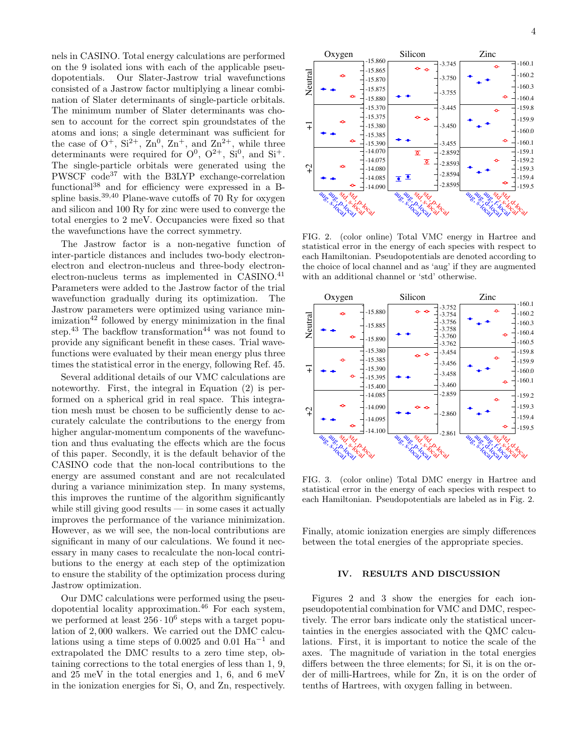nels in CASINO. Total energy calculations are performed on the 9 isolated ions with each of the applicable pseudopotentials. Our Slater-Jastrow trial wavefunctions consisted of a Jastrow factor multiplying a linear combination of Slater determinants of single-particle orbitals. The minimum number of Slater determinants was chosen to account for the correct spin groundstates of the atoms and ions; a single determinant was sufficient for the case of  $O^+$ ,  $Si^{2+}$ ,  $Zn^0$ ,  $Zn^+$ , and  $Zn^{2+}$ , while three determinants were required for  $O^0$ ,  $O^{2+}$ ,  $Si^0$ , and  $Si^+$ . The single-particle orbitals were generated using the PWSCF code<sup>37</sup> with the B3LYP exchange-correlation functional<sup>38</sup> and for efficiency were expressed in a Bspline basis.<sup>39,40</sup> Plane-wave cutoffs of 70 Ry for oxygen and silicon and 100 Ry for zinc were used to converge the total energies to 2 meV. Occupancies were fixed so that the wavefunctions have the correct symmetry.

The Jastrow factor is a non-negative function of inter-particle distances and includes two-body electronelectron and electron-nucleus and three-body electronelectron-nucleus terms as implemented in CASINO.<sup>41</sup> Parameters were added to the Jastrow factor of the trial wavefunction gradually during its optimization. The Jastrow parameters were optimized using variance min $imization<sup>42</sup>$  followed by energy minimization in the final step.<sup>43</sup> The backflow transformation<sup>44</sup> was not found to provide any significant benefit in these cases. Trial wavefunctions were evaluated by their mean energy plus three times the statistical error in the energy, following Ref. 45.

Several additional details of our VMC calculations are noteworthy. First, the integral in Equation (2) is performed on a spherical grid in real space. This integration mesh must be chosen to be sufficiently dense to accurately calculate the contributions to the energy from higher angular-momentum components of the wavefunction and thus evaluating the effects which are the focus of this paper. Secondly, it is the default behavior of the CASINO code that the non-local contributions to the energy are assumed constant and are not recalculated during a variance minimization step. In many systems, this improves the runtime of the algorithm significantly while still giving good results  $\frac{1}{2}$  in some cases it actually improves the performance of the variance minimization. However, as we will see, the non-local contributions are significant in many of our calculations. We found it necessary in many cases to recalculate the non-local contributions to the energy at each step of the optimization to ensure the stability of the optimization process during Jastrow optimization.

Our DMC calculations were performed using the pseudopotential locality approximation.<sup>46</sup> For each system, we performed at least  $256 \cdot 10^6$  steps with a target population of 2, 000 walkers. We carried out the DMC calculations using a time steps of 0.0025 and 0.01  $\text{Ha}^{-1}$  and extrapolated the DMC results to a zero time step, obtaining corrections to the total energies of less than 1, 9, and 25 meV in the total energies and 1, 6, and 6 meV in the ionization energies for Si, O, and Zn, respectively.



FIG. 2. (color online) Total VMC energy in Hartree and statistical error in the energy of each species with respect to each Hamiltonian. Pseudopotentials are denoted according to the choice of local channel and as 'aug' if they are augmented with an additional channel or 'std' otherwise.



FIG. 3. (color online) Total DMC energy in Hartree and statistical error in the energy of each species with respect to each Hamiltonian. Pseudopotentials are labeled as in Fig. 2.

Finally, atomic ionization energies are simply differences between the total energies of the appropriate species.

#### IV. RESULTS AND DISCUSSION

Figures 2 and 3 show the energies for each ionpseudopotential combination for VMC and DMC, respectively. The error bars indicate only the statistical uncertainties in the energies associated with the QMC calculations. First, it is important to notice the scale of the axes. The magnitude of variation in the total energies differs between the three elements; for Si, it is on the order of milli-Hartrees, while for Zn, it is on the order of tenths of Hartrees, with oxygen falling in between.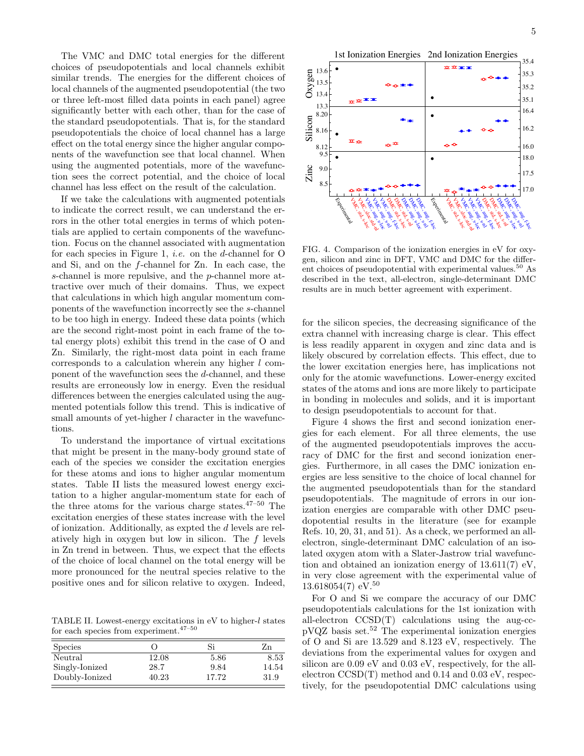The VMC and DMC total energies for the different choices of pseudopotentials and local channels exhibit similar trends. The energies for the different choices of local channels of the augmented pseudopotential (the two or three left-most filled data points in each panel) agree significantly better with each other, than for the case of the standard pseudopotentials. That is, for the standard pseudopotentials the choice of local channel has a large effect on the total energy since the higher angular components of the wavefunction see that local channel. When using the augmented potentials, more of the wavefunction sees the correct potential, and the choice of local channel has less effect on the result of the calculation.

If we take the calculations with augmented potentials to indicate the correct result, we can understand the errors in the other total energies in terms of which potentials are applied to certain components of the wavefunction. Focus on the channel associated with augmentation for each species in Figure 1, i.e. on the d-channel for O and Si, and on the f-channel for Zn. In each case, the s-channel is more repulsive, and the p-channel more attractive over much of their domains. Thus, we expect that calculations in which high angular momentum components of the wavefunction incorrectly see the s-channel to be too high in energy. Indeed these data points (which are the second right-most point in each frame of the total energy plots) exhibit this trend in the case of O and Zn. Similarly, the right-most data point in each frame corresponds to a calculation wherein any higher l component of the wavefunction sees the d-channel, and these results are erroneously low in energy. Even the residual differences between the energies calculated using the augmented potentials follow this trend. This is indicative of small amounts of yet-higher l character in the wavefunctions.

To understand the importance of virtual excitations that might be present in the many-body ground state of each of the species we consider the excitation energies for these atoms and ions to higher angular momentum states. Table II lists the measured lowest energy excitation to a higher angular-momentum state for each of the three atoms for the various charge states. $47-50$  The excitation energies of these states increase with the level of ionization. Additionally, as expted the d levels are relatively high in oxygen but low in silicon. The f levels in Zn trend in between. Thus, we expect that the effects of the choice of local channel on the total energy will be more pronounced for the neutral species relative to the positive ones and for silicon relative to oxygen. Indeed,

TABLE II. Lowest-energy excitations in eV to higher-l states for each species from experiment.  $47-50$ 

| <b>Species</b> | 0     | Si    | Zn    |
|----------------|-------|-------|-------|
| Neutral        | 12.08 | 5.86  | 8.53  |
| Singly-Ionized | 28.7  | 9.84  | 14.54 |
| Doubly-Ionized | 40.23 | 17.72 | 31.9  |



FIG. 4. Comparison of the ionization energies in eV for oxygen, silicon and zinc in DFT, VMC and DMC for the different choices of pseudopotential with experimental values.<sup>50</sup> As described in the text, all-electron, single-determinant DMC results are in much better agreement with experiment.

for the silicon species, the decreasing significance of the extra channel with increasing charge is clear. This effect is less readily apparent in oxygen and zinc data and is likely obscured by correlation effects. This effect, due to the lower excitation energies here, has implications not only for the atomic wavefunctions. Lower-energy excited states of the atoms and ions are more likely to participate in bonding in molecules and solids, and it is important to design pseudopotentials to account for that.

Figure 4 shows the first and second ionization energies for each element. For all three elements, the use of the augmented pseudopotentials improves the accuracy of DMC for the first and second ionization energies. Furthermore, in all cases the DMC ionization energies are less sensitive to the choice of local channel for the augmented pseudopotentials than for the standard pseudopotentials. The magnitude of errors in our ionization energies are comparable with other DMC pseudopotential results in the literature (see for example Refs. 10, 20, 31, and 51). As a check, we performed an allelectron, single-determinant DMC calculation of an isolated oxygen atom with a Slater-Jastrow trial wavefunction and obtained an ionization energy of 13.611(7) eV, in very close agreement with the experimental value of  $13.618054(7)$  eV.<sup>50</sup>

For O and Si we compare the accuracy of our DMC pseudopotentials calculations for the 1st ionization with all-electron CCSD(T) calculations using the aug-ccpVQZ basis set.<sup>52</sup> The experimental ionization energies of O and Si are 13.529 and 8.123 eV, respectively. The deviations from the experimental values for oxygen and silicon are 0.09 eV and 0.03 eV, respectively, for the allelectron CCSD(T) method and 0.14 and 0.03 eV, respectively, for the pseudopotential DMC calculations using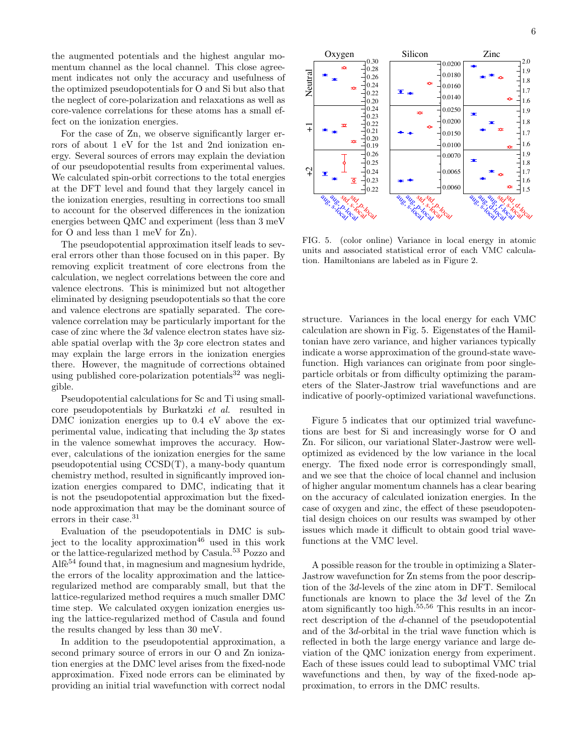the augmented potentials and the highest angular momentum channel as the local channel. This close agreement indicates not only the accuracy and usefulness of the optimized pseudopotentials for O and Si but also that the neglect of core-polarization and relaxations as well as core-valence correlations for these atoms has a small effect on the ionization energies.

For the case of Zn, we observe significantly larger errors of about 1 eV for the 1st and 2nd ionization energy. Several sources of errors may explain the deviation of our pseudopotential results from experimental values. We calculated spin-orbit corrections to the total energies at the DFT level and found that they largely cancel in the ionization energies, resulting in corrections too small to account for the observed differences in the ionization energies between QMC and experiment (less than 3 meV for O and less than 1 meV for Zn).

The pseudopotential approximation itself leads to several errors other than those focused on in this paper. By removing explicit treatment of core electrons from the calculation, we neglect correlations between the core and valence electrons. This is minimized but not altogether eliminated by designing pseudopotentials so that the core and valence electrons are spatially separated. The corevalence correlation may be particularly important for the case of zinc where the 3d valence electron states have sizable spatial overlap with the 3p core electron states and may explain the large errors in the ionization energies there. However, the magnitude of corrections obtained using published core-polarization potentials $32$  was negligible.

Pseudopotential calculations for Sc and Ti using smallcore pseudopotentials by Burkatzki et al. resulted in DMC ionization energies up to 0.4 eV above the experimental value, indicating that including the 3p states in the valence somewhat improves the accuracy. However, calculations of the ionization energies for the same pseudopotential using CCSD(T), a many-body quantum chemistry method, resulted in significantly improved ionization energies compared to DMC, indicating that it is not the pseudopotential approximation but the fixednode approximation that may be the dominant source of errors in their case.<sup>31</sup>

Evaluation of the pseudopotentials in DMC is subject to the locality approximation<sup>46</sup> used in this work or the lattice-regularized method by Casula.<sup>53</sup> Pozzo and Alf $e^{54}$  found that, in magnesium and magnesium hydride, the errors of the locality approximation and the latticeregularized method are comparably small, but that the lattice-regularized method requires a much smaller DMC time step. We calculated oxygen ionization energies using the lattice-regularized method of Casula and found the results changed by less than 30 meV.

In addition to the pseudopotential approximation, a second primary source of errors in our O and Zn ionization energies at the DMC level arises from the fixed-node approximation. Fixed node errors can be eliminated by providing an initial trial wavefunction with correct nodal



<sup>s</sup>td, std, p<br>p:/s<sup>. j</sup>d, p<br>af<sup>oc</sup>al std

Neutral

 $\overline{+}$ 

 $\, \mathfrak{J} \,$ 

sta<sup>sta</sup><br>p: s: 10:10<br>e1 s: 10:

ps ps augus

FIG. 5. (color online) Variance in local energy in atomic units and associated statistical error of each VMC calculation. Hamiltonians are labeled as in Figure 2.

ps ps augus

structure. Variances in the local energy for each VMC calculation are shown in Fig. 5. Eigenstates of the Hamiltonian have zero variance, and higher variances typically indicate a worse approximation of the ground-state wavefunction. High variances can originate from poor singleparticle orbitals or from difficulty optimizing the parameters of the Slater-Jastrow trial wavefunctions and are indicative of poorly-optimized variational wavefunctions.

Figure 5 indicates that our optimized trial wavefunctions are best for Si and increasingly worse for O and Zn. For silicon, our variational Slater-Jastrow were welloptimized as evidenced by the low variance in the local energy. The fixed node error is correspondingly small, and we see that the choice of local channel and inclusion of higher angular momentum channels has a clear bearing on the accuracy of calculated ionization energies. In the case of oxygen and zinc, the effect of these pseudopotential design choices on our results was swamped by other issues which made it difficult to obtain good trial wavefunctions at the VMC level.

A possible reason for the trouble in optimizing a Slater-Jastrow wavefunction for Zn stems from the poor description of the 3d-levels of the zinc atom in DFT. Semilocal functionals are known to place the 3d level of the Zn atom significantly too high.55,56 This results in an incorrect description of the d-channel of the pseudopotential and of the 3d-orbital in the trial wave function which is reflected in both the large energy variance and large deviation of the QMC ionization energy from experiment. Each of these issues could lead to suboptimal VMC trial wavefunctions and then, by way of the fixed-node approximation, to errors in the DMC results.

ste<sup>ste</sup>d<br>Local sto<br>A-d-d-local

ps of spall<br>p: local augus<br>le le local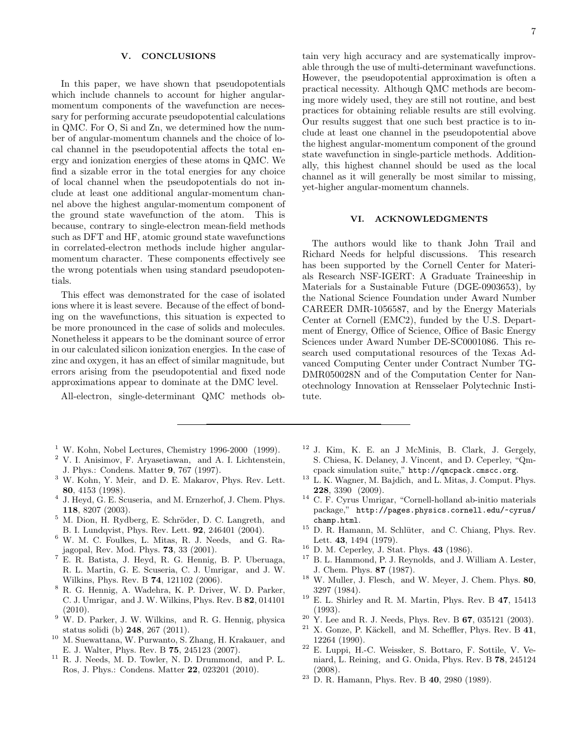## V. CONCLUSIONS

In this paper, we have shown that pseudopotentials which include channels to account for higher angularmomentum components of the wavefunction are necessary for performing accurate pseudopotential calculations in QMC. For O, Si and Zn, we determined how the number of angular-momentum channels and the choice of local channel in the pseudopotential affects the total energy and ionization energies of these atoms in QMC. We find a sizable error in the total energies for any choice of local channel when the pseudopotentials do not include at least one additional angular-momentum channel above the highest angular-momentum component of the ground state wavefunction of the atom. This is because, contrary to single-electron mean-field methods such as DFT and HF, atomic ground state wavefunctions in correlated-electron methods include higher angularmomentum character. These components effectively see the wrong potentials when using standard pseudopotentials.

This effect was demonstrated for the case of isolated ions where it is least severe. Because of the effect of bonding on the wavefunctions, this situation is expected to be more pronounced in the case of solids and molecules. Nonetheless it appears to be the dominant source of error in our calculated silicon ionization energies. In the case of zinc and oxygen, it has an effect of similar magnitude, but errors arising from the pseudopotential and fixed node approximations appear to dominate at the DMC level.

All-electron, single-determinant QMC methods ob-

- $1$  W. Kohn, Nobel Lectures, Chemistry 1996-2000 (1999).
- <sup>2</sup> V. I. Anisimov, F. Aryasetiawan, and A. I. Lichtenstein, J. Phys.: Condens. Matter 9, 767 (1997).
- <sup>3</sup> W. Kohn, Y. Meir, and D. E. Makarov, Phys. Rev. Lett. 80, 4153 (1998).
- 4 J. Heyd, G. E. Scuseria, and M. Ernzerhof, J. Chem. Phys. 118, 8207 (2003).
- $5$  M. Dion, H. Rydberg, E. Schröder, D. C. Langreth, and B. I. Lundqvist, Phys. Rev. Lett. 92, 246401 (2004).
- <sup>6</sup> W. M. C. Foulkes, L. Mitas, R. J. Needs, and G. Rajagopal, Rev. Mod. Phys. 73, 33 (2001).
- <sup>7</sup> E. R. Batista, J. Heyd, R. G. Hennig, B. P. Uberuaga, R. L. Martin, G. E. Scuseria, C. J. Umrigar, and J. W. Wilkins, Phys. Rev. B 74, 121102 (2006).
- <sup>8</sup> R. G. Hennig, A. Wadehra, K. P. Driver, W. D. Parker, C. J. Umrigar, and J. W. Wilkins, Phys. Rev. B 82, 014101 (2010).
- $9 \text{ W.}$  D. Parker, J. W. Wilkins, and R. G. Hennig, physica status solidi (b) 248, 267 (2011).
- <sup>10</sup> M. Suewattana, W. Purwanto, S. Zhang, H. Krakauer, and E. J. Walter, Phys. Rev. B 75, 245123 (2007).
- <sup>11</sup> R. J. Needs, M. D. Towler, N. D. Drummond, and P. L. Ros, J. Phys.: Condens. Matter 22, 023201 (2010).

tain very high accuracy and are systematically improvable through the use of multi-determinant wavefunctions. However, the pseudopotential approximation is often a practical necessity. Although QMC methods are becoming more widely used, they are still not routine, and best practices for obtaining reliable results are still evolving. Our results suggest that one such best practice is to include at least one channel in the pseudopotential above the highest angular-momentum component of the ground state wavefunction in single-particle methods. Additionally, this highest channel should be used as the local channel as it will generally be most similar to missing, yet-higher angular-momentum channels.

# VI. ACKNOWLEDGMENTS

The authors would like to thank John Trail and Richard Needs for helpful discussions. This research has been supported by the Cornell Center for Materials Research NSF-IGERT: A Graduate Traineeship in Materials for a Sustainable Future (DGE-0903653), by the National Science Foundation under Award Number CAREER DMR-1056587, and by the Energy Materials Center at Cornell (EMC2), funded by the U.S. Department of Energy, Office of Science, Office of Basic Energy Sciences under Award Number DE-SC0001086. This research used computational resources of the Texas Advanced Computing Center under Contract Number TG-DMR050028N and of the Computation Center for Nanotechnology Innovation at Rensselaer Polytechnic Institute.

- $12$  J. Kim, K. E. an J McMinis, B. Clark, J. Gergely, S. Chiesa, K. Delaney, J. Vincent, and D. Ceperley, "Qmcpack simulation suite," http://qmcpack.cmscc.org.
- <sup>13</sup> L. K. Wagner, M. Bajdich, and L. Mitas, J. Comput. Phys. 228, 3390 (2009).
- <sup>14</sup> C. F. Cyrus Umrigar, "Cornell-holland ab-initio materials package," http://pages.physics.cornell.edu/~cyrus/ champ.html.
- <sup>15</sup> D. R. Hamann, M. Schlüter, and C. Chiang, Phys. Rev. Lett. 43, 1494 (1979).
- $16$  D. M. Ceperley, J. Stat. Phys. 43 (1986).
- <sup>17</sup> B. L. Hammond, P. J. Reynolds, and J. William A. Lester, J. Chem. Phys. 87 (1987).
- $18$  W. Muller, J. Flesch, and W. Meyer, J. Chem. Phys. 80, 3297 (1984).
- <sup>19</sup> E. L. Shirley and R. M. Martin, Phys. Rev. B 47, 15413 (1993).
- $20\,$  Y. Lee and R. J. Needs, Phys. Rev. B 67, 035121 (2003).
- $^{21}$  X. Gonze, P. Käckell, and M. Scheffler, Phys. Rev. B  $\bf{41},$ 12264 (1990).
- <sup>22</sup> E. Luppi, H.-C. Weissker, S. Bottaro, F. Sottile, V. Veniard, L. Reining, and G. Onida, Phys. Rev. B 78, 245124 (2008).
- <sup>23</sup> D. R. Hamann, Phys. Rev. B 40, 2980 (1989).